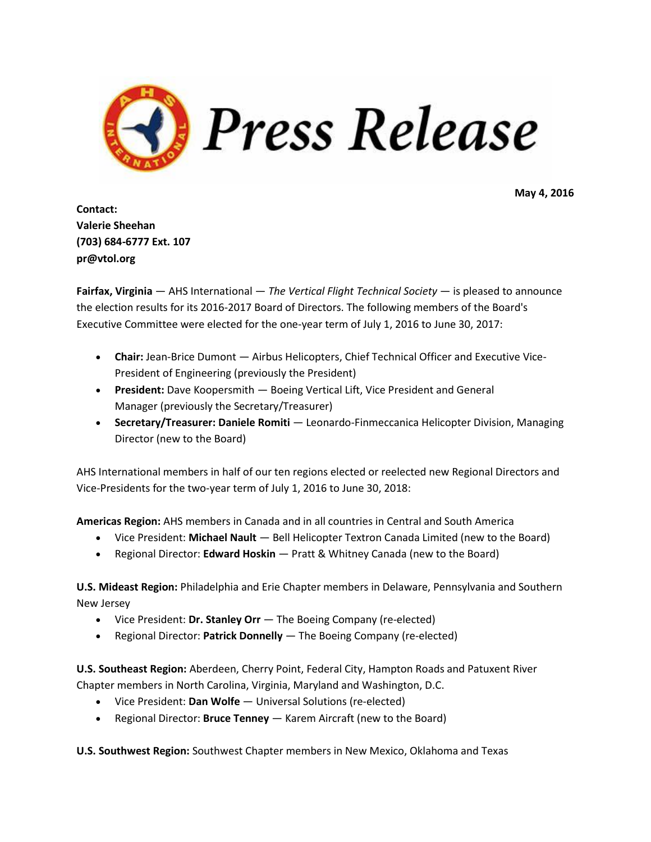

**May 4, 2016**

**Contact: Valerie Sheehan (703) 684-6777 Ext. 107 pr@vtol.org**

**Fairfax, Virginia** — AHS International — *The Vertical Flight Technical Society* — is pleased to announce the election results for its 2016-2017 Board of Directors. The following members of the Board's Executive Committee were elected for the one-year term of July 1, 2016 to June 30, 2017:

- **Chair:** Jean-Brice Dumont Airbus Helicopters, Chief Technical Officer and Executive Vice-President of Engineering (previously the President)
- **President:** Dave Koopersmith Boeing Vertical Lift, Vice President and General Manager (previously the Secretary/Treasurer)
- **Secretary/Treasurer: Daniele Romiti** Leonardo-Finmeccanica Helicopter Division, Managing Director (new to the Board)

AHS International members in half of our ten regions elected or reelected new Regional Directors and Vice-Presidents for the two-year term of July 1, 2016 to June 30, 2018:

**Americas Region:** AHS members in Canada and in all countries in Central and South America

- Vice President: **Michael Nault** Bell Helicopter Textron Canada Limited (new to the Board)
- Regional Director: **Edward Hoskin** Pratt & Whitney Canada (new to the Board)

**U.S. Mideast Region:** Philadelphia and Erie Chapter members in Delaware, Pennsylvania and Southern New Jersey

- Vice President: **Dr. Stanley Orr** The Boeing Company (re-elected)
- Regional Director: **Patrick Donnelly** The Boeing Company (re-elected)

**U.S. Southeast Region:** Aberdeen, Cherry Point, Federal City, Hampton Roads and Patuxent River Chapter members in North Carolina, Virginia, Maryland and Washington, D.C.

- Vice President: **Dan Wolfe** Universal Solutions (re-elected)
- Regional Director: **Bruce Tenney** Karem Aircraft (new to the Board)

**U.S. Southwest Region:** Southwest Chapter members in New Mexico, Oklahoma and Texas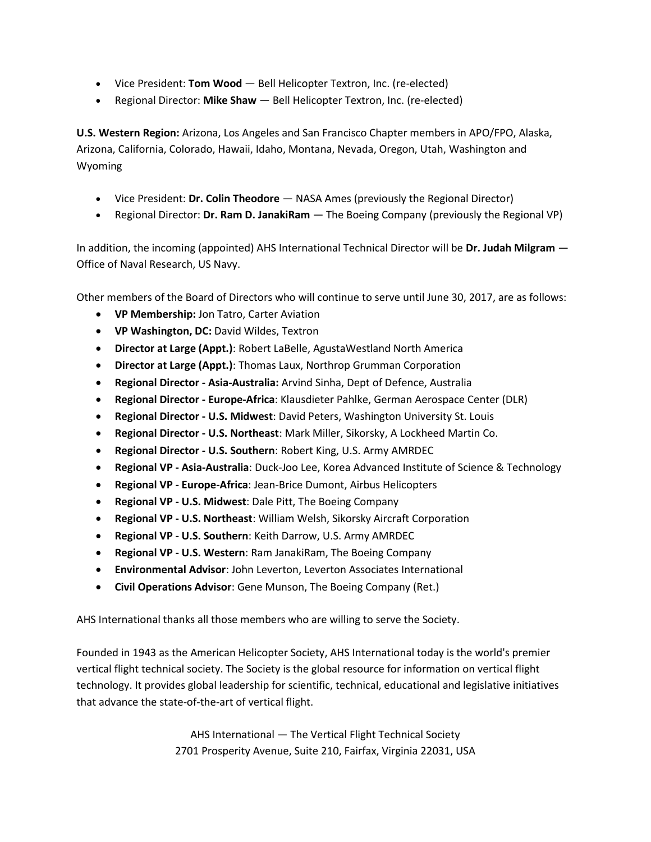- Vice President: **Tom Wood** Bell Helicopter Textron, Inc. (re-elected)
- Regional Director: **Mike Shaw** Bell Helicopter Textron, Inc. (re-elected)

**U.S. Western Region:** Arizona, Los Angeles and San Francisco Chapter members in APO/FPO, Alaska, Arizona, California, Colorado, Hawaii, Idaho, Montana, Nevada, Oregon, Utah, Washington and Wyoming

- Vice President: **Dr. Colin Theodore** NASA Ames (previously the Regional Director)
- Regional Director: **Dr. Ram D. JanakiRam** The Boeing Company (previously the Regional VP)

In addition, the incoming (appointed) AHS International Technical Director will be **Dr. Judah Milgram** — Office of Naval Research, US Navy.

Other members of the Board of Directors who will continue to serve until June 30, 2017, are as follows:

- **VP Membership:** Jon Tatro, Carter Aviation
- **VP Washington, DC:** David Wildes, Textron
- **Director at Large (Appt.)**: Robert LaBelle, AgustaWestland North America
- **Director at Large (Appt.)**: Thomas Laux, Northrop Grumman Corporation
- **Regional Director - Asia-Australia:** Arvind Sinha, Dept of Defence, Australia
- **Regional Director - Europe-Africa**: Klausdieter Pahlke, German Aerospace Center (DLR)
- **Regional Director - U.S. Midwest**: David Peters, Washington University St. Louis
- **Regional Director - U.S. Northeast**: Mark Miller, Sikorsky, A Lockheed Martin Co.
- **Regional Director - U.S. Southern**: Robert King, U.S. Army AMRDEC
- **Regional VP - Asia-Australia**: Duck-Joo Lee, Korea Advanced Institute of Science & Technology
- **Regional VP - Europe-Africa**: Jean-Brice Dumont, Airbus Helicopters
- **Regional VP - U.S. Midwest**: Dale Pitt, The Boeing Company
- **Regional VP - U.S. Northeast**: William Welsh, Sikorsky Aircraft Corporation
- **Regional VP - U.S. Southern**: Keith Darrow, U.S. Army AMRDEC
- **Regional VP - U.S. Western**: Ram JanakiRam, The Boeing Company
- **Environmental Advisor**: John Leverton, Leverton Associates International
- **Civil Operations Advisor**: Gene Munson, The Boeing Company (Ret.)

AHS International thanks all those members who are willing to serve the Society.

Founded in 1943 as the American Helicopter Society, AHS International today is the world's premier vertical flight technical society. The Society is the global resource for information on vertical flight technology. It provides global leadership for scientific, technical, educational and legislative initiatives that advance the state-of-the-art of vertical flight.

> AHS International — The Vertical Flight Technical Society 2701 Prosperity Avenue, Suite 210, Fairfax, Virginia 22031, USA